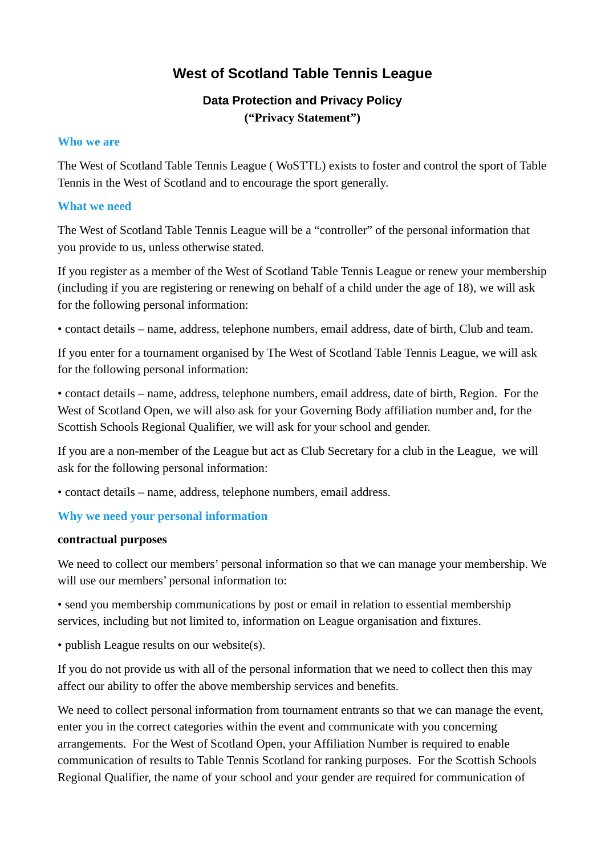# **West of Scotland Table Tennis League**

## **Data Protection and Privacy Policy ("Privacy Statement")**

#### **Who we are**

The West of Scotland Table Tennis League ( WoSTTL) exists to foster and control the sport of Table Tennis in the West of Scotland and to encourage the sport generally.

#### **What we need**

The West of Scotland Table Tennis League will be a "controller" of the personal information that you provide to us, unless otherwise stated.

If you register as a member of the West of Scotland Table Tennis League or renew your membership (including if you are registering or renewing on behalf of a child under the age of 18), we will ask for the following personal information:

• contact details – name, address, telephone numbers, email address, date of birth, Club and team.

If you enter for a tournament organised by The West of Scotland Table Tennis League, we will ask for the following personal information:

• contact details – name, address, telephone numbers, email address, date of birth, Region. For the West of Scotland Open, we will also ask for your Governing Body affiliation number and, for the Scottish Schools Regional Qualifier, we will ask for your school and gender.

If you are a non-member of the League but act as Club Secretary for a club in the League, we will ask for the following personal information:

• contact details – name, address, telephone numbers, email address.

#### **Why we need your personal information**

#### **contractual purposes**

We need to collect our members' personal information so that we can manage your membership. We will use our members' personal information to:

• send you membership communications by post or email in relation to essential membership services, including but not limited to, information on League organisation and fixtures.

• publish League results on our website(s).

If you do not provide us with all of the personal information that we need to collect then this may affect our ability to offer the above membership services and benefits.

We need to collect personal information from tournament entrants so that we can manage the event, enter you in the correct categories within the event and communicate with you concerning arrangements. For the West of Scotland Open, your Affiliation Number is required to enable communication of results to Table Tennis Scotland for ranking purposes. For the Scottish Schools Regional Qualifier, the name of your school and your gender are required for communication of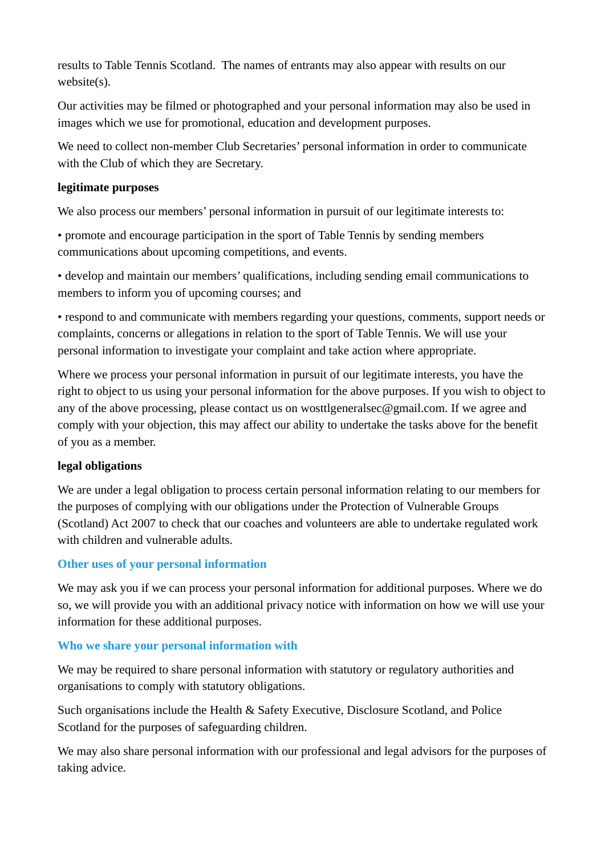results to Table Tennis Scotland. The names of entrants may also appear with results on our website(s).

Our activities may be filmed or photographed and your personal information may also be used in images which we use for promotional, education and development purposes.

We need to collect non-member Club Secretaries' personal information in order to communicate with the Club of which they are Secretary.

## **legitimate purposes**

We also process our members' personal information in pursuit of our legitimate interests to:

• promote and encourage participation in the sport of Table Tennis by sending members communications about upcoming competitions, and events.

• develop and maintain our members' qualifications, including sending email communications to members to inform you of upcoming courses; and

• respond to and communicate with members regarding your questions, comments, support needs or complaints, concerns or allegations in relation to the sport of Table Tennis. We will use your personal information to investigate your complaint and take action where appropriate.

Where we process your personal information in pursuit of our legitimate interests, you have the right to object to us using your personal information for the above purposes. If you wish to object to any of the above processing, please contact us on wosttlgeneralsec@gmail.com. If we agree and comply with your objection, this may affect our ability to undertake the tasks above for the benefit of you as a member.

## **legal obligations**

We are under a legal obligation to process certain personal information relating to our members for the purposes of complying with our obligations under the Protection of Vulnerable Groups (Scotland) Act 2007 to check that our coaches and volunteers are able to undertake regulated work with children and vulnerable adults.

## **Other uses of your personal information**

We may ask you if we can process your personal information for additional purposes. Where we do so, we will provide you with an additional privacy notice with information on how we will use your information for these additional purposes.

## **Who we share your personal information with**

We may be required to share personal information with statutory or regulatory authorities and organisations to comply with statutory obligations.

Such organisations include the Health & Safety Executive, Disclosure Scotland, and Police Scotland for the purposes of safeguarding children.

We may also share personal information with our professional and legal advisors for the purposes of taking advice.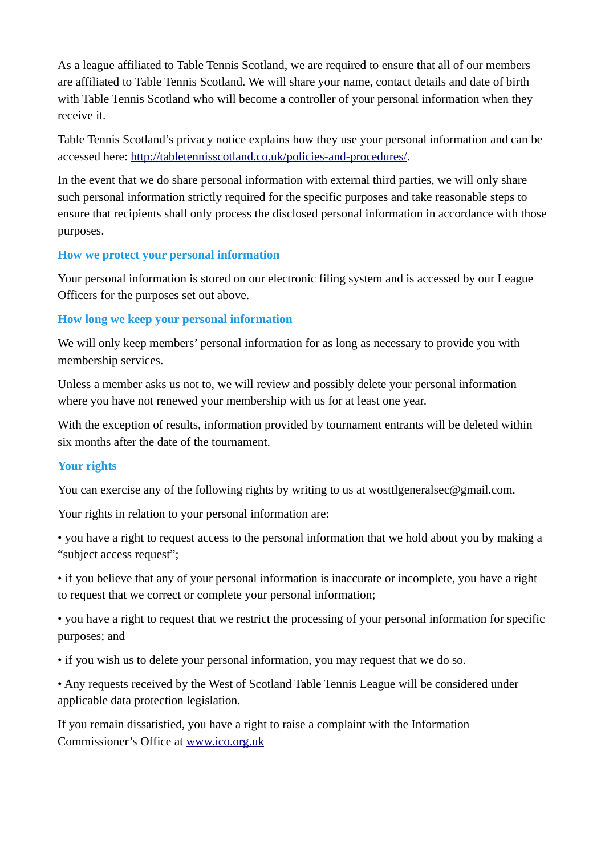As a league affiliated to Table Tennis Scotland, we are required to ensure that all of our members are affiliated to Table Tennis Scotland. We will share your name, contact details and date of birth with Table Tennis Scotland who will become a controller of your personal information when they receive it.

Table Tennis Scotland's privacy notice explains how they use your personal information and can be accessed here: [http://tabletennisscotland.co.uk/policies-and-procedures/.](http://tabletennisscotland.co.uk/policies-and-procedures/)

In the event that we do share personal information with external third parties, we will only share such personal information strictly required for the specific purposes and take reasonable steps to ensure that recipients shall only process the disclosed personal information in accordance with those purposes.

## **How we protect your personal information**

Your personal information is stored on our electronic filing system and is accessed by our League Officers for the purposes set out above.

## **How long we keep your personal information**

We will only keep members' personal information for as long as necessary to provide you with membership services.

Unless a member asks us not to, we will review and possibly delete your personal information where you have not renewed your membership with us for at least one year.

With the exception of results, information provided by tournament entrants will be deleted within six months after the date of the tournament.

#### **Your rights**

You can exercise any of the following rights by writing to us at wosttlgeneralsec@gmail.com.

Your rights in relation to your personal information are:

• you have a right to request access to the personal information that we hold about you by making a "subject access request";

• if you believe that any of your personal information is inaccurate or incomplete, you have a right to request that we correct or complete your personal information;

• you have a right to request that we restrict the processing of your personal information for specific purposes; and

• if you wish us to delete your personal information, you may request that we do so.

• Any requests received by the West of Scotland Table Tennis League will be considered under applicable data protection legislation.

If you remain dissatisfied, you have a right to raise a complaint with the Information Commissioner's Office at [www.ico.org.uk](http://www.ico.org.uk/)